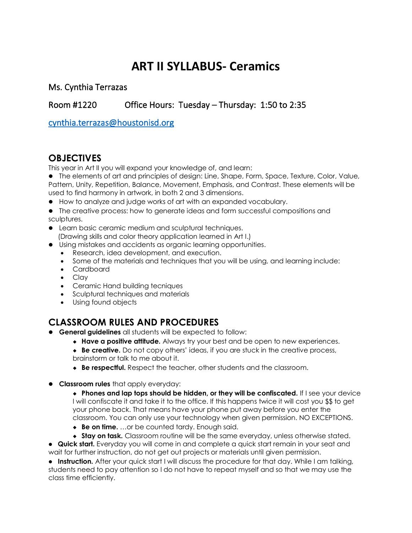# **ART II SYLLABUS- Ceramics**

Ms. Cynthia Terrazas

Room #1220 Office Hours: Tuesday – Thursday: 1:50 to 2:35

[cynthia.terrazas@houstonisd.org](mailto:cynthia.terrazas@houstonisd.org) 

## **OBJECTIVES**

This year in Art II you will expand your knowledge of, and learn:

⚫ The elements of art and principles of design: Line, Shape, Form, Space, Texture, Color, Value, Pattern, Unity, Repetition, Balance, Movement, Emphasis, and Contrast. These elements will be used to find harmony in artwork, in both 2 and 3 dimensions.

- ⚫ How to analyze and judge works of art with an expanded vocabulary.
- ⚫ The creative process: how to generate ideas and form successful compositions and sculptures.
- ⚫ Learn basic ceramic medium and sculptural techniques. (Drawing skills and color theory application learned in Art I.)
- ⚫ Using mistakes and accidents as organic learning opportunities.
	- Research, idea development, and execution.
	- Some of the materials and techniques that you will be using, and learning include:
	- Cardboard
	- Clay
	- Ceramic Hand building tecniques
	- Sculptural techniques and materials
	- Using found objects

#### **CLASSROOM RULES AND PROCEDURES**

- ⚫ **General guidelines** all students will be expected to follow:
	- **Have a positive attitude.** Always try your best and be open to new experiences.

 **Be creative.** Do not copy others' ideas, if you are stuck in the creative process, brainstorm or talk to me about it.

- **Be respectful.** Respect the teacher, other students and the classroom.
- ⚫ **Classroom rules** that apply everyday:
	- **Phones and lap tops should be hidden, or they will be confiscated.** If I see your device I will confiscate it and take it to the office. If this happens twice it will cost you \$\$ to get your phone back. That means have your phone put away before you enter the classroom. You can only use your technology when given permission. NO EXCEPTIONS.
	- ◆ **Be on time.** ...or be counted tardy. Enough said.

 **Stay on task.** Classroom routine will be the same everyday, unless otherwise stated. ⚫ **Quick start.** Everyday you will come in and complete a quick start remain in your seat and wait for further instruction, do not get out projects or materials until given permission.

⚫ **Instruction.** After your quick start I will discuss the procedure for that day. While I am talking, students need to pay attention so I do not have to repeat myself and so that we may use the class time efficiently.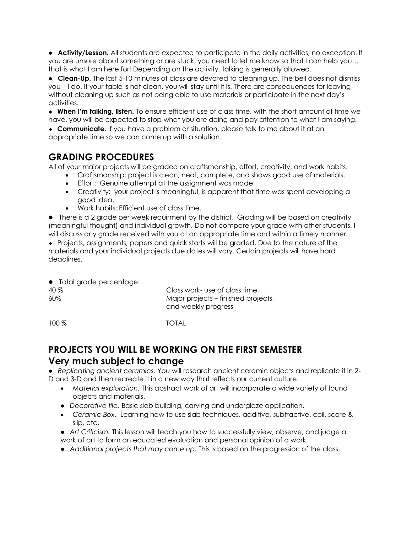⚫ **Activity/Lesson.** All students are expected to participate in the daily activities, no exception. If you are unsure about something or are stuck, you need to let me know so that I can help you… that is what I am here for! Depending on the activity, talking is generally allowed.

⚫ **Clean-Up.** The last 5-10 minutes of class are devoted to cleaning up. The bell does not dismiss you – I do. If your table is not clean, you will stay until it is. There are consequences for leaving without cleaning up such as not being able to use materials or participate in the next day's activities.

 **When I'm talking, listen.** To ensure efficient use of class time, with the short amount of time we have, you will be expected to stop what you are doing and pay attention to what I am saying.

 **Communicate.** If you have a problem or situation, please talk to me about it at an appropriate time so we can come up with a solution.

#### **GRADING PROCEDURES**

All of your major projects will be graded on craftsmanship, effort, creativity, and work habits.

- Craftsmanship: project is clean, neat, complete, and shows good use of materials.
- Effort: Genuine attempt at the assignment was made.
- Creativity: your project is meaningful, is apparent that time was spent developing a good idea.
- Work habits: Efficient use of class time.

⚫ There is a 2 grade per week requirment by the district. Grading will be based on creativity (meaningful thought) and individual growth. Do not compare your grade with other students. I will discuss any grade received with you at an appropriate time and within a timely manner.

 Projects, assignments, papers and quick starts will be graded. Due to the nature of the materials and your individual projects due dates will vary. Certain projects will have hard deadlines.

⚫ Total grade percentage: 40 % Class work- use of class time 60% Major projects – finished projects, and weekly progress

100 % TOTAL

# **PROJECTS YOU WILL BE WORKING ON THE FIRST SEMESTER Very much subject to change**

⚫ *Replicating ancient ceramics.* You will research ancient ceramic objects and replicate it in 2- D and 3-D and then recreate it in a new way that reflects our current culture.

- *Material exploration.* This abstract work of art will incorporate a wide variety of found objects and materials.
- ⚫ *Decorative tile.* Basic slab building, carving and underglaze application.
- *Ceramic Box*. Learning how to use slab techniques, additive, subtractive, coil, score & slip, etc.
- ⚫ *Art Criticism.* This lesson will teach you how to successfully view, observe, and judge a work of art to form an educated evaluation and personal opinion of a work.
- ⚫ *Additional projects that may come up.* This is based on the progression of the class.